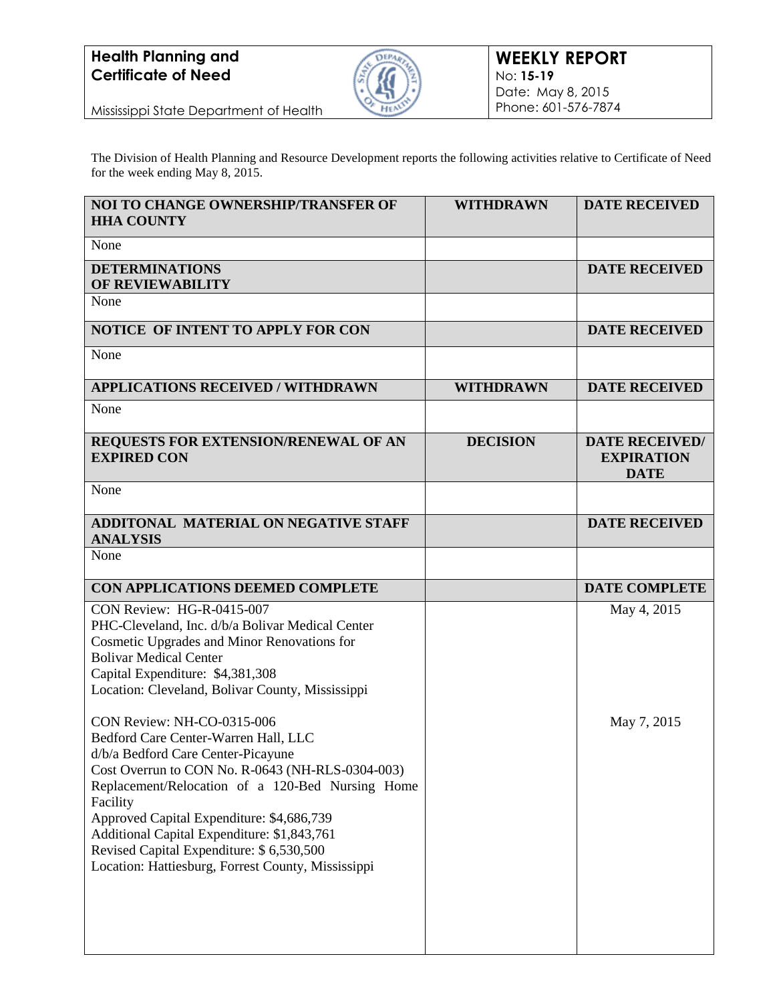

Mississippi State Department of Health

The Division of Health Planning and Resource Development reports the following activities relative to Certificate of Need for the week ending May 8, 2015.

| NOI TO CHANGE OWNERSHIP/TRANSFER OF<br><b>HHA COUNTY</b>                                                                                                                                                                                                                                                                                                                                                                   | <b>WITHDRAWN</b> | <b>DATE RECEIVED</b>                                      |
|----------------------------------------------------------------------------------------------------------------------------------------------------------------------------------------------------------------------------------------------------------------------------------------------------------------------------------------------------------------------------------------------------------------------------|------------------|-----------------------------------------------------------|
| None                                                                                                                                                                                                                                                                                                                                                                                                                       |                  |                                                           |
| <b>DETERMINATIONS</b><br>OF REVIEWABILITY                                                                                                                                                                                                                                                                                                                                                                                  |                  | <b>DATE RECEIVED</b>                                      |
| None                                                                                                                                                                                                                                                                                                                                                                                                                       |                  |                                                           |
| <b>NOTICE OF INTENT TO APPLY FOR CON</b>                                                                                                                                                                                                                                                                                                                                                                                   |                  | <b>DATE RECEIVED</b>                                      |
| None                                                                                                                                                                                                                                                                                                                                                                                                                       |                  |                                                           |
| <b>APPLICATIONS RECEIVED / WITHDRAWN</b>                                                                                                                                                                                                                                                                                                                                                                                   | <b>WITHDRAWN</b> | <b>DATE RECEIVED</b>                                      |
| None                                                                                                                                                                                                                                                                                                                                                                                                                       |                  |                                                           |
| REQUESTS FOR EXTENSION/RENEWAL OF AN<br><b>EXPIRED CON</b>                                                                                                                                                                                                                                                                                                                                                                 | <b>DECISION</b>  | <b>DATE RECEIVED/</b><br><b>EXPIRATION</b><br><b>DATE</b> |
| None                                                                                                                                                                                                                                                                                                                                                                                                                       |                  |                                                           |
| ADDITONAL MATERIAL ON NEGATIVE STAFF<br><b>ANALYSIS</b>                                                                                                                                                                                                                                                                                                                                                                    |                  | <b>DATE RECEIVED</b>                                      |
| None                                                                                                                                                                                                                                                                                                                                                                                                                       |                  |                                                           |
| CON APPLICATIONS DEEMED COMPLETE                                                                                                                                                                                                                                                                                                                                                                                           |                  | <b>DATE COMPLETE</b>                                      |
| CON Review: HG-R-0415-007<br>PHC-Cleveland, Inc. d/b/a Bolivar Medical Center<br>Cosmetic Upgrades and Minor Renovations for<br><b>Bolivar Medical Center</b><br>Capital Expenditure: \$4,381,308<br>Location: Cleveland, Bolivar County, Mississippi                                                                                                                                                                      |                  | May 4, 2015                                               |
| CON Review: NH-CO-0315-006<br>Bedford Care Center-Warren Hall, LLC<br>d/b/a Bedford Care Center-Picayune<br>Cost Overrun to CON No. R-0643 (NH-RLS-0304-003)<br>Replacement/Relocation of a 120-Bed Nursing Home<br>Facility<br>Approved Capital Expenditure: \$4,686,739<br>Additional Capital Expenditure: \$1,843,761<br>Revised Capital Expenditure: \$6,530,500<br>Location: Hattiesburg, Forrest County, Mississippi |                  | May 7, 2015                                               |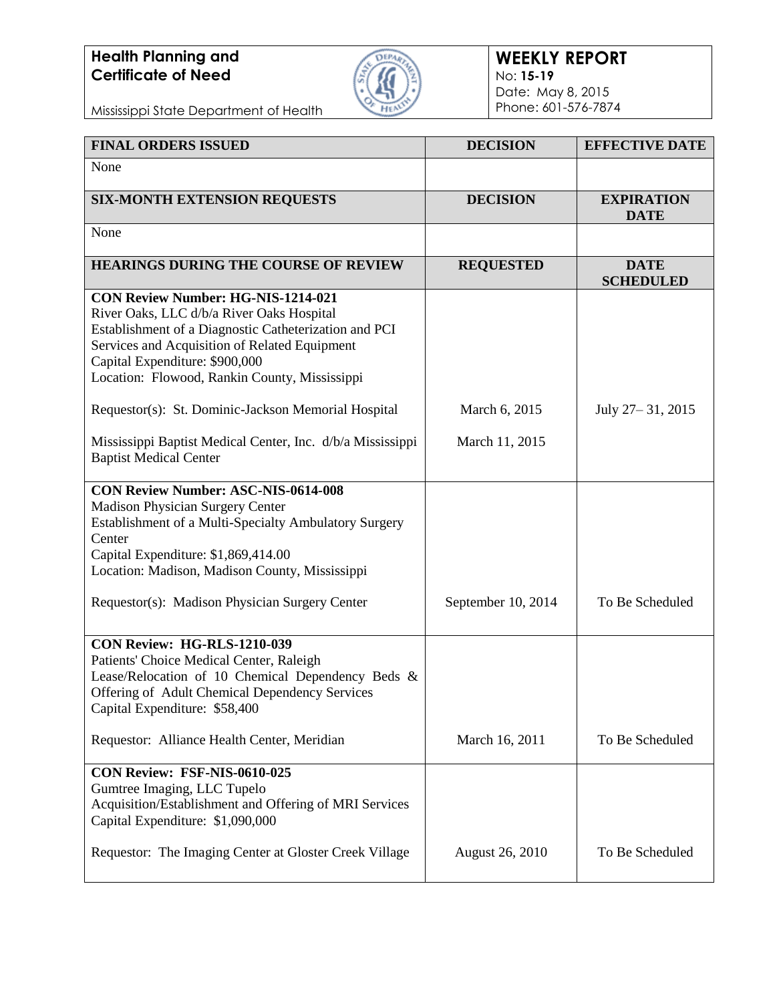

Mississippi State Department of Health

| <b>FINAL ORDERS ISSUED</b>                                                                                                                                                                                                                                                          | <b>DECISION</b>        | <b>EFFECTIVE DATE</b>            |
|-------------------------------------------------------------------------------------------------------------------------------------------------------------------------------------------------------------------------------------------------------------------------------------|------------------------|----------------------------------|
| None                                                                                                                                                                                                                                                                                |                        |                                  |
| <b>SIX-MONTH EXTENSION REQUESTS</b>                                                                                                                                                                                                                                                 | <b>DECISION</b>        | <b>EXPIRATION</b><br><b>DATE</b> |
| None                                                                                                                                                                                                                                                                                |                        |                                  |
| <b>HEARINGS DURING THE COURSE OF REVIEW</b>                                                                                                                                                                                                                                         | <b>REQUESTED</b>       | <b>DATE</b><br><b>SCHEDULED</b>  |
| <b>CON Review Number: HG-NIS-1214-021</b><br>River Oaks, LLC d/b/a River Oaks Hospital<br>Establishment of a Diagnostic Catheterization and PCI<br>Services and Acquisition of Related Equipment<br>Capital Expenditure: \$900,000<br>Location: Flowood, Rankin County, Mississippi |                        |                                  |
| Requestor(s): St. Dominic-Jackson Memorial Hospital                                                                                                                                                                                                                                 | March 6, 2015          | July 27-31, 2015                 |
| Mississippi Baptist Medical Center, Inc. d/b/a Mississippi<br><b>Baptist Medical Center</b>                                                                                                                                                                                         | March 11, 2015         |                                  |
| <b>CON Review Number: ASC-NIS-0614-008</b><br>Madison Physician Surgery Center<br>Establishment of a Multi-Specialty Ambulatory Surgery<br>Center<br>Capital Expenditure: \$1,869,414.00<br>Location: Madison, Madison County, Mississippi                                          |                        |                                  |
| Requestor(s): Madison Physician Surgery Center                                                                                                                                                                                                                                      | September 10, 2014     | To Be Scheduled                  |
| CON Review: HG-RLS-1210-039<br>Patients' Choice Medical Center, Raleigh<br>Lease/Relocation of 10 Chemical Dependency Beds &<br>Offering of Adult Chemical Dependency Services<br>Capital Expenditure: \$58,400                                                                     |                        |                                  |
| Requestor: Alliance Health Center, Meridian                                                                                                                                                                                                                                         | March 16, 2011         | To Be Scheduled                  |
| CON Review: FSF-NIS-0610-025<br>Gumtree Imaging, LLC Tupelo<br>Acquisition/Establishment and Offering of MRI Services<br>Capital Expenditure: \$1,090,000                                                                                                                           |                        |                                  |
| Requestor: The Imaging Center at Gloster Creek Village                                                                                                                                                                                                                              | <b>August 26, 2010</b> | To Be Scheduled                  |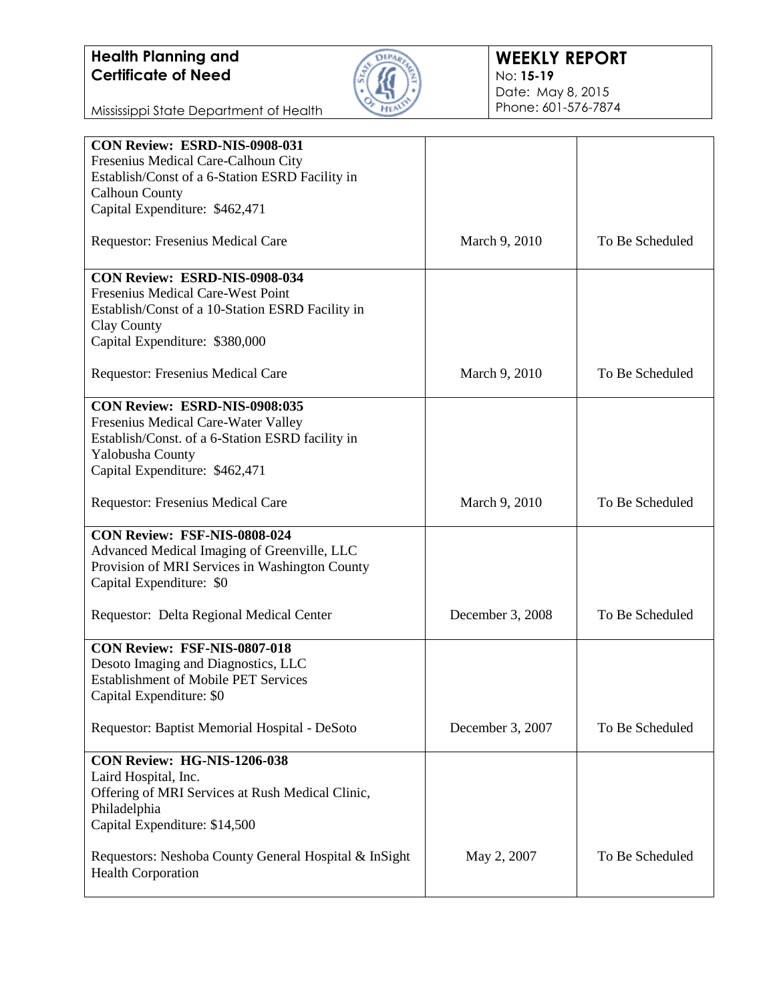

Mississippi State Department of Health

| CON Review: ESRD-NIS-0908-031                         |                  |                 |
|-------------------------------------------------------|------------------|-----------------|
| Fresenius Medical Care-Calhoun City                   |                  |                 |
| Establish/Const of a 6-Station ESRD Facility in       |                  |                 |
| <b>Calhoun County</b>                                 |                  |                 |
| Capital Expenditure: \$462,471                        |                  |                 |
|                                                       |                  |                 |
| Requestor: Fresenius Medical Care                     | March 9, 2010    | To Be Scheduled |
| CON Review: ESRD-NIS-0908-034                         |                  |                 |
| Fresenius Medical Care-West Point                     |                  |                 |
| Establish/Const of a 10-Station ESRD Facility in      |                  |                 |
| Clay County                                           |                  |                 |
|                                                       |                  |                 |
| Capital Expenditure: \$380,000                        |                  |                 |
| Requestor: Fresenius Medical Care                     | March 9, 2010    | To Be Scheduled |
| CON Review: ESRD-NIS-0908:035                         |                  |                 |
| Fresenius Medical Care-Water Valley                   |                  |                 |
| Establish/Const. of a 6-Station ESRD facility in      |                  |                 |
|                                                       |                  |                 |
| Yalobusha County                                      |                  |                 |
| Capital Expenditure: \$462,471                        |                  |                 |
| <b>Requestor: Fresenius Medical Care</b>              | March 9, 2010    | To Be Scheduled |
| CON Review: FSF-NIS-0808-024                          |                  |                 |
| Advanced Medical Imaging of Greenville, LLC           |                  |                 |
| Provision of MRI Services in Washington County        |                  |                 |
| Capital Expenditure: \$0                              |                  |                 |
|                                                       |                  |                 |
| Requestor: Delta Regional Medical Center              | December 3, 2008 | To Be Scheduled |
| CON Review: FSF-NIS-0807-018                          |                  |                 |
| Desoto Imaging and Diagnostics, LLC                   |                  |                 |
| <b>Establishment of Mobile PET Services</b>           |                  |                 |
|                                                       |                  |                 |
| Capital Expenditure: \$0                              |                  |                 |
| Requestor: Baptist Memorial Hospital - DeSoto         | December 3, 2007 | To Be Scheduled |
| CON Review: HG-NIS-1206-038                           |                  |                 |
| Laird Hospital, Inc.                                  |                  |                 |
| Offering of MRI Services at Rush Medical Clinic,      |                  |                 |
| Philadelphia                                          |                  |                 |
|                                                       |                  |                 |
| Capital Expenditure: \$14,500                         |                  |                 |
|                                                       |                  |                 |
| Requestors: Neshoba County General Hospital & InSight | May 2, 2007      | To Be Scheduled |
| <b>Health Corporation</b>                             |                  |                 |
|                                                       |                  |                 |